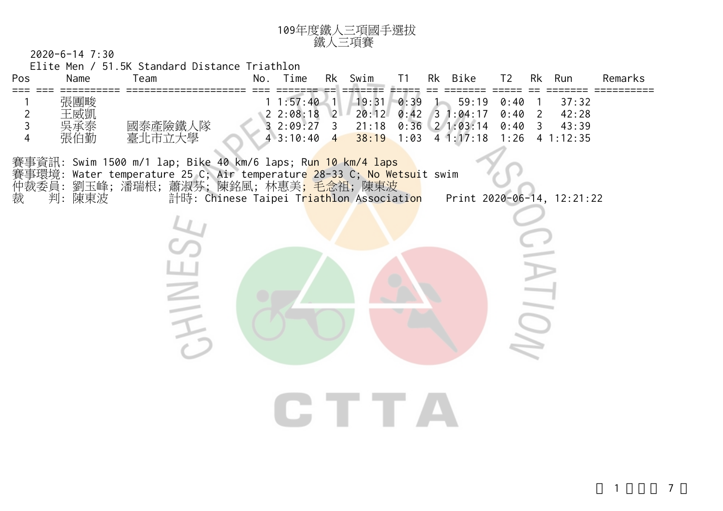

2020-6-14 7:30

Elite Men / 51.5K Standard Distance Triathlon

CHINESZ

| Pos                | Name | eam         | No. | $\tau$ ime | Rk             | Swim  |      | Rk         | <b>Bike</b> | エク   | Rk | Run     | Remarks |
|--------------------|------|-------------|-----|------------|----------------|-------|------|------------|-------------|------|----|---------|---------|
|                    |      |             |     |            |                |       |      |            |             |      |    |         |         |
|                    | 張團畯  |             |     | 1:57:40    |                | 19:31 | 0:39 |            | 59:19       | 0:40 |    | 37:32   |         |
| $\sim$<br><u>_</u> | 王威凱  |             |     | 22:08:18   | $2^{\circ}$    | 20:12 | 0:42 | $\sqrt{3}$ | 1:04:17     | 0:40 |    | 42:28   |         |
|                    | 吳承泰  | ∖隊<br>國泰產險鐵 |     | 2:09:27    |                | 21:18 | 0:36 |            | 21:03:14    | 0:40 |    | 43:39   |         |
|                    | 張伯勤  | 臺北市立大學      |     | 43:10:40   | $\overline{a}$ | 38:19 | 1:03 | 4          | 1:17:18     | .26  |    | 1:12:35 |         |
|                    |      |             |     |            |                |       |      |            |             |      |    |         |         |

CTTA

賽事資訊: Swim 1500 m/1 lap; Bike 40 km/6 laps; Run 10 km/4 laps 賽事環境: Water temperature 25 C; Air temperature 28-33 C; <mark>No Wetsu</mark>it swim 仲裁委員: 劉玉峰; 潘瑞根; 蕭淑芬; 陳銘風; 林惠美<mark>; 毛念祖</mark>; 陳東波 我 判: 陳東波 計時: Chinese Taipei Triathlon Association Print 2020-06-14, 12:21:22

**CIATIO**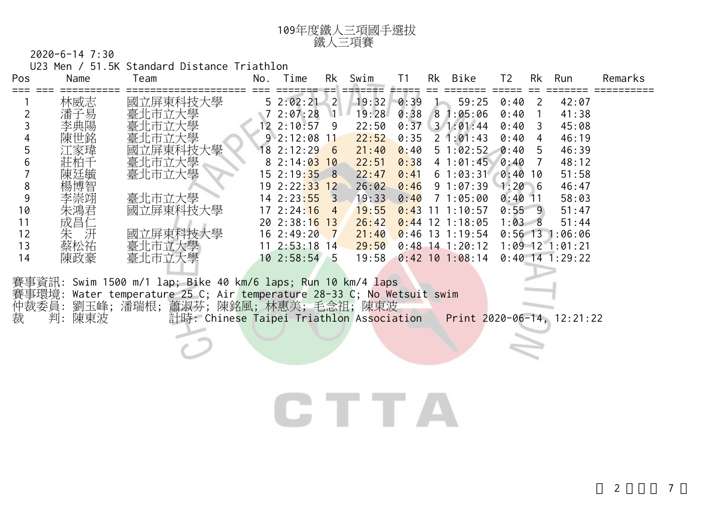

2020-6-14 7:30

U23 Men / 51.5K Standard Distance Triathlon

| Pos | Name                                                            | Team     | No. | Time                     | Rk             | Swim  | Τ1   | Rk | Bike              | T <sub>2</sub> | Rk | Run               | Remarks |
|-----|-----------------------------------------------------------------|----------|-----|--------------------------|----------------|-------|------|----|-------------------|----------------|----|-------------------|---------|
|     | 林威志                                                             | 國立屏東科技大學 |     | 52:02:21                 | $\sqrt{2}$     | 19:32 | 0:39 |    | 59:25             | 0:40           | 2  | 42:07             |         |
|     | 潘子易                                                             | 臺北市立大學   |     | 72:07:28                 | $\vert$ 1      | 19:28 | 0:38 |    | 81:05:06          | 0:40           |    | 41:38             |         |
|     | 李典陽                                                             | 臺北市立大學   |     | 12 2:10:57               | -9             | 22:50 | 0:37 |    | $3 \t1:01:44$     | 0:40           | 3  | 45:08             |         |
|     | 陳世銘                                                             | 臺北市立大學   |     | 92:12:08                 | -11            | 22:52 | 0:35 |    | $2\;1:01:43$      | 0:40           | 4  | 46:19             |         |
|     | 江家瑋                                                             | 國立屏東科技大學 |     | 18 2:12:29               | - 6            | 21:40 | 0:40 |    | 51:02:52          | 0:40           | 5  | 46:39             |         |
| b   | 莊柏千                                                             | 臺北市立大學   |     | 82:14:03                 | 10             | 22:51 | 0:38 |    | 41:01:45          | 0:40           |    | 48:12             |         |
|     | 陳廷毓                                                             | 臺北市立大學   |     | 15 2:19: <mark>35</mark> | 8              | 22:47 | 0:41 |    | $6 \t1:03:31$     | $0:40$ 10      |    | 51:58             |         |
| 8   | 楊博智                                                             |          |     | 19 2:22:33 12            |                | 26:02 | 0:46 |    | 91:07:39          | $1:20 \ 6$     |    | 46:47             |         |
| 9   | 李崇翊                                                             | 臺北市立大學   |     | $14$ 2:23:55 3           |                | 19:33 | 0:40 |    | 71:05:00          | $0:40$ 11      |    | 58:03             |         |
| 10  | 朱鴻君                                                             | 國立屏東科技大學 |     | $17 \ \ 2:24:16$         | $\overline{4}$ | 19:55 | 0:43 | 11 | 1:10:57           | $0:55$ 9       |    | 51:47             |         |
| 11  | 成昌仁                                                             |          |     | $20 \t2:38:16 \t13$      |                | 26:42 | 0:44 |    | $12 \t1:18:05$    | 1:03           | 8  | 51:44             |         |
| 12  | 朱汧                                                              | 國立屏東科技大學 |     | 162::49:20               | $\overline{7}$ | 21:40 | 0:46 |    | $13 \t1:19:54$    |                |    | $0:56$ 13 1:06:06 |         |
| 13  | 蔡松祐                                                             | 臺北市立大學   |     | $11 \t2:53:18 \t14$      |                | 29:50 | 0:48 |    | $14$ 1:20:12      |                |    | $1:09$ 12 1:01:21 |         |
| 14  | 陳政豪                                                             | 臺北市立大學   |     | 10 2:58:54 5             |                | 19:58 |      |    | $0:42$ 10 1:08:14 |                |    | $0:40$ 14 1:29:22 |         |
|     |                                                                 |          |     |                          |                |       |      |    |                   |                |    |                   |         |
|     | 賽事資訊:<br>Swim 1500 m/1 lap; Bike 40 km/6 laps; Run 10 km/4 laps |          |     |                          |                |       |      |    |                   |                |    |                   |         |

賽事環境: Water temperature 25 C; Air temperature 28-33 C; No Wetsuit swim 仲裁委員: 劉玉峰; 潘瑞根; 蕭淑芬; 陳銘風; 林惠美; 毛念祖; 陳東波 裁 判: 陳東波 計時: Chinese Taipei Triathlon Association Print 2020-06-14, 12:21:22

## **CTTA**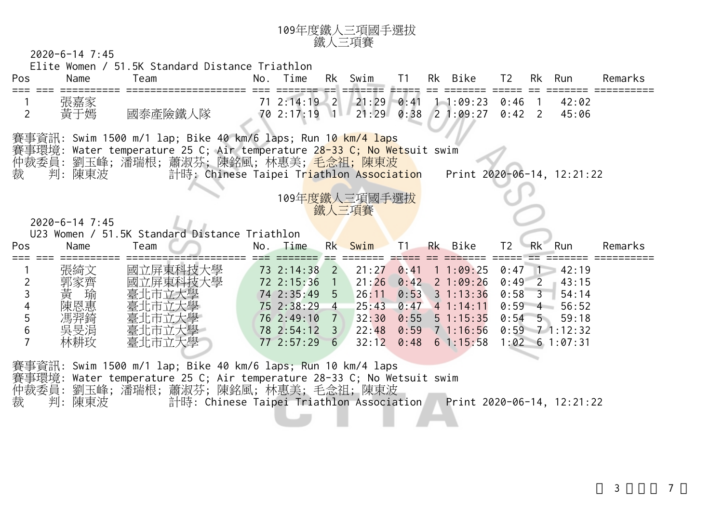

2020-6-14 7:45

Elite Women / 51.5K Standard Distance Triathlon

| Pos                                                                      | Name                                                                                                                                                                                                                                                                                                             | Team                                                                   | No. Time |                                                                                                | Rk                                                                                             | Swim                                                        | T1                                                   |  | Rk Bike                                                                                         | T <sub>2</sub>                           | Rk                                               | Run                                                                                                 | Remarks |
|--------------------------------------------------------------------------|------------------------------------------------------------------------------------------------------------------------------------------------------------------------------------------------------------------------------------------------------------------------------------------------------------------|------------------------------------------------------------------------|----------|------------------------------------------------------------------------------------------------|------------------------------------------------------------------------------------------------|-------------------------------------------------------------|------------------------------------------------------|--|-------------------------------------------------------------------------------------------------|------------------------------------------|--------------------------------------------------|-----------------------------------------------------------------------------------------------------|---------|
| $\overline{2}$                                                           | 張嘉家<br>黃于嫣                                                                                                                                                                                                                                                                                                       | 國泰產險鐵人隊                                                                |          | $71$ 2:14:19 2<br>70 2:17:19                                                                   | 111                                                                                            | $21:29 \quad 0:41$<br>21:29                                 | 0:38                                                 |  | $1 - 1:09:23$<br>21:09:27                                                                       | 0:46<br>$0:42$ 2                         | $\overline{1}$                                   | 42:02<br>45:06                                                                                      |         |
| 裁                                                                        | 賽事資訊: Swim 1500 m/1 lap; Bike 40 km/6 laps; Run 10 km/4 laps<br>賽事環境: Water temperature 25 C; Air temperature 2 <mark>8-33 C; No Wets</mark> uit swim<br>仲裁委員: 劉玉峰; 潘瑞根; 蕭淑芬; 陳銘風; 林惠美; <mark>毛念祖; 陳東波</mark><br>判: 陳東波<br>計時: Chinese Taipei Tr <mark>iathlon Associatio</mark> n<br>Print 2020-06-14, 12:21:22 |                                                                        |          |                                                                                                |                                                                                                |                                                             |                                                      |  |                                                                                                 |                                          |                                                  |                                                                                                     |         |
|                                                                          | 109年度鐵人三項國手選拔<br>鐵人三項賽<br>$2020 - 6 - 14$ 7:45                                                                                                                                                                                                                                                                   |                                                                        |          |                                                                                                |                                                                                                |                                                             |                                                      |  |                                                                                                 |                                          |                                                  |                                                                                                     |         |
|                                                                          |                                                                                                                                                                                                                                                                                                                  | U23 Women / 51.5K Standard Distance Triathlon                          |          |                                                                                                |                                                                                                |                                                             |                                                      |  |                                                                                                 |                                          |                                                  |                                                                                                     |         |
| Pos                                                                      | Name                                                                                                                                                                                                                                                                                                             | Team                                                                   | No. Time |                                                                                                |                                                                                                | Rk Swim                                                     | T1                                                   |  | Rk Bike                                                                                         | T <sub>2</sub>                           |                                                  | Rk Run                                                                                              | Remarks |
| $\frac{2}{3}$<br>$\overline{\mathbf{4}}$<br>5<br>$6\,$<br>$\overline{7}$ | 張綺文<br>郭家齊<br>黃<br>瑜<br>陳恩惠<br>馮羿錡<br>吳旻涓<br>林耕玫                                                                                                                                                                                                                                                                 | 國立屏東科技大學<br>國立屏東科技大學<br>臺北市立大學<br>臺北市立大學<br>臺北市立大學<br>臺北市立大學<br>臺北市立大學 |          | 73 2:14:38<br>72 2:15:36<br>74 2:35:49<br>75 2:38:29<br>76 2:49:10<br>78 2:54:12<br>77 2:57:29 | $\overline{2}$<br>$-5$<br>$\overline{4}$<br>$\overline{7}$<br>$\overline{3}$<br>6 <sup>6</sup> | 21:27<br>21:26<br>26:11<br>25:43<br>32:30<br>22:48<br>32:12 | 0:41<br>0:42<br>0:53<br>0:47<br>0:55<br>0:59<br>0:48 |  | 11:09:25<br>21:09:26<br>$3 \t1:13:36$<br>$4 \t1:14:11$<br>$5 \t1:15:35$<br>71:16:56<br>61:15:58 | 0:47<br>0:49<br>0:58<br>$0:59$ 4<br>0:54 | $\overline{2}$<br>$\mathbf{3}$<br>5 <sub>1</sub> | $1 - 42:19$<br>43:15<br>54:14<br>56:52<br>59:18<br>$0:59$ 7 1:12:32<br>$1:02 \quad 6 \quad 1:07:31$ |         |
| 裁                                                                        | 賽事資訊: Swim 1500 m/1 lap; Bike 40 km/6 laps; Run 10 km/4 laps<br>賽事環境: Water temperature 25 C; Air temperature 28-33 C; No Wetsuit swim<br>仲裁委員:劉玉峰;潘瑞根;蕭淑芬;陳銘風;林惠美;毛念祖;陳東波<br>判: 陳東波<br>計時: Chinese Taipei Triathlon Association Print 2020-06-14, 12:21:22                                                      |                                                                        |          |                                                                                                |                                                                                                |                                                             |                                                      |  |                                                                                                 |                                          |                                                  |                                                                                                     |         |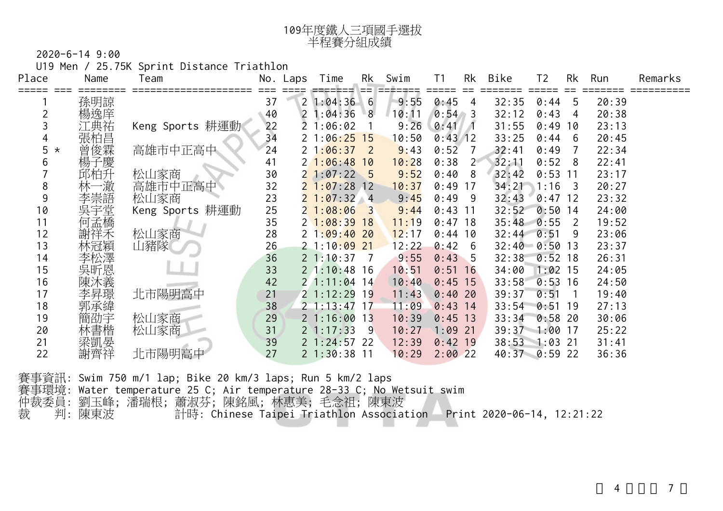|  | $2020 - 6 - 14$ 9:00 |
|--|----------------------|
|  |                      |

U19 Men / 25.75K Sprint Distance Triathlon

年度鐵人三項國手選拔

| Place        | Name       | Team            | No. | Laps | Time           | Rk                         | Swim  | T1        | Rk  | Bike          | Т2        | Rk             | Run   | Remarks |
|--------------|------------|-----------------|-----|------|----------------|----------------------------|-------|-----------|-----|---------------|-----------|----------------|-------|---------|
|              |            |                 | 37  | 2    | $1:04:36$ 6    |                            | 9:55  | 0:45      | 4   | 32:35         | 0:44      | 5              | 20:39 |         |
|              | 孫明諒<br>楊逸庠 |                 | 40  |      | 1:04:36        | 8                          | 10:11 | $0:54$ 3  |     | 32:12         | 0:43      | 4              | 20:38 |         |
|              | C典祐        | Keng Sports 耕運動 | 22  |      | 1:06:02        |                            | 9:26  | 0:41      |     | 31:55         | 0:49      | 10             | 23:13 |         |
| 4            | 張柏昌        |                 | 34  |      | 21:06:25       | 15                         | 10:50 | $0:43$ 12 |     | 33:25         | 0:44      | - 6            | 20:45 |         |
| 5<br>$\star$ | 曾俊霖        | 高雄市中正高中         | 24  |      | 21:06:37       | $\overline{\phantom{0}}^2$ | 9:43  | 0:52      |     | 32:41         | 0:49      |                | 22:34 |         |
| 6            | 楊子慶        |                 | 41  |      | 21:06:48       | 10                         | 10:28 | 0:38      |     | 32:11         | 0:52      | -8             | 22:41 |         |
|              | 邱柏升        | 松山家商            | 30  |      | 21:07:225      |                            | 9:52  | 0:40      | 8   | 32:42         | 0:53      | 11             | 23:17 |         |
| 8            | 林一澈<br>李崇語 | 高雄市中正高中         | 32  |      | $2\;1:07:28$   | 12                         | 10:37 | 0:49      | 17  | 34:21         | 1:16      | - 3            | 20:27 |         |
| 9            |            | 松山家商            | 23  |      | 21:07:32       | $\triangle$ 4              | 9:45  | 0:49      | -9  | 32:43         | 0:47      | 12             | 23:32 |         |
| 10           | 吳宇堂        | Keng Sports 耕運動 | 25  |      | 21:08:06       | $\overline{\mathbf{3}}$    | 9:44  | $0:43$ 11 |     | 32:52         | $0:50$ 14 |                | 24:00 |         |
| 11           | 何孟橋        |                 | 35  |      | 21:08:39       | 18                         | 11:19 | $0:47$ 18 |     | 35:48         | 0:55      | $\overline{2}$ | 19:52 |         |
| 12           | 謝祥禾        | 松山家商            | 28  |      | 21:09:40       | 20                         | 12:17 | $0:44$ 10 |     | 32:44         | 0:51      | - 9            | 23:06 |         |
| 13           | 林冠穎        | 山豬隊             | 26  |      | 21:10:09       | -21                        | 12:22 | 0:42      | - 6 | 32:40 0:50    |           | -13            | 23:37 |         |
| 14           | 李松澤        |                 | 36  |      | 21:10:37       | $\overline{7}$             | 9:55  | 0:43:5    |     | 32:38         | $0:52$ 18 |                | 26:31 |         |
| 15           | 吳昕恩        |                 | 33  |      | 21:10:4816     |                            | 10:51 | 0:51      | 16  | 34:00         | $1:02$ 15 |                | 24:05 |         |
| 16           | 陳沐義        |                 | 42  |      | $21:11:04$ 14  |                            | 10:40 | $0:45$ 15 |     | 33:58         | $0:53$ 16 |                | 24:50 |         |
| 17           | 李昇璟        | 北市陽明高中          | 21  |      | 21:12:29       | 19                         | 11:43 | 0:40.20   |     | 39:37         | 0:51      |                | 19:40 |         |
| 18           | 郭承緯        |                 | 38  |      | $2 \t1:13:47$  | 17                         | 11:09 | $0:43$ 14 |     | 33:54         | 0:51      | 19             | 27:13 |         |
| 19           | 簡劭宇        | 松山家商            | 29  |      | 21:16:00       | 13                         | 10:39 | $0:45$ 13 |     | 33:34         | $0:58$ 20 |                | 30:06 |         |
| 20           | 林書楷        | 松山家商            | 31  |      | $2 \; 1:17:33$ | - 9                        | 10:27 | $1:09$ 21 |     | 39:37 1:00 17 |           |                | 25:22 |         |
| 21           | 梁凱晏        |                 | 39  |      | 21:24:5722     |                            | 12:39 | $0:42$ 19 |     | 38:53 1:03 21 |           |                | 31:41 |         |
| 22           | 謝齊祥        | 北市陽明高中          | 27  |      | 21:30:3811     |                            | 10:29 | 2:0022    |     | 40:37 0:59 22 |           |                | 36:36 |         |

半程賽分組成績

賽事資訊: Swim 750 m/1 lap; Bike 20 km/3 laps; Run 5 km/2 laps 賽事環境: Water temperature 25 C; Air temperature 28-33 C; No Wetsuit swim 仲裁委員: 劉玉峰; 潘瑞根; 蕭淑芬; 陳銘風; 林惠美; 毛念祖; 陳東波 裁 判: 陳東波 計時: Chinese Taipei Triathlon Association Print 2020-06-14, 12:21:22

4 7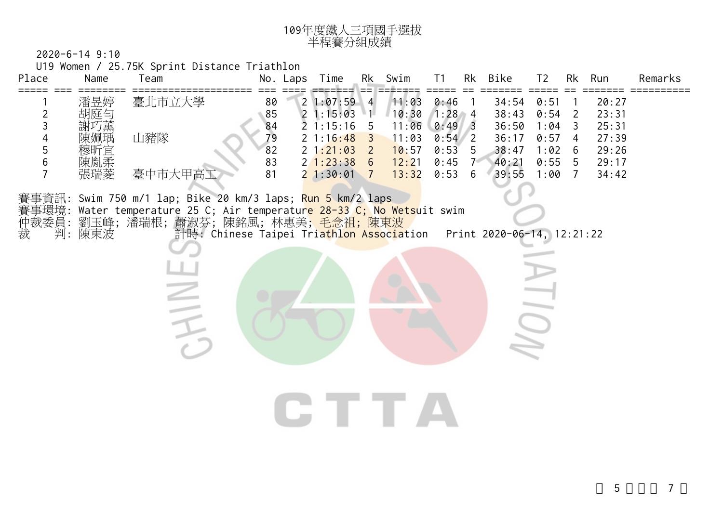

2020-6-14 9:10

U19 Women / 25.75K Sprint Distance Triathlon

| Place<br>$=$ $=$ $=$ $=$ $=$                              | Name              | Team                                                                                                                                                             |                | No. Laps   | Time                             |                                                                          | Rk Swim                 | T1                           | Rk               | Bike                       | T <sub>2</sub>           | Rk                   | Run                     | Remarks |
|-----------------------------------------------------------|-------------------|------------------------------------------------------------------------------------------------------------------------------------------------------------------|----------------|------------|----------------------------------|--------------------------------------------------------------------------|-------------------------|------------------------------|------------------|----------------------------|--------------------------|----------------------|-------------------------|---------|
| $\overline{2}$                                            | 潘昱婷<br>胡庭匀        | 臺北市立大學                                                                                                                                                           | 80<br>85       | $\sqrt{2}$ | $21:07:59$ 4<br>1:15:03          | $-1$                                                                     | 11:03<br>10:30          | 0:46<br>$1:28$ 4             |                  | 34:54<br>38:43             | 0:51<br>0:54             | $\overline{2}$       | 20:27<br>23:31          |         |
| $\mathfrak{Z}$<br>$\overline{\mathcal{A}}$<br>$\mathbf 5$ | 謝巧薰<br>陳姵瑀        | 山豬隊                                                                                                                                                              | 84<br>79<br>82 |            | 21:15:16<br>21:16:48<br>21:21:03 | $5\overline{)}$<br>$\overline{\mathbf{3}}$<br>$\overline{\phantom{0}}$ 2 | 11:06<br>11:03<br>10:57 | $0:49$ 3<br>$0:54$ 2<br>0:53 | - 5              | 36:50<br>36:17<br>38:47    | 1:04<br>$0:57$ 4<br>1:02 | 3<br>$6\overline{6}$ | 25:31<br>27:39<br>29:26 |         |
| $\,$ 6 $\,$<br>$\overline{7}$                             | 穆昕宜<br>陳胤柔<br>張瑞菱 | 臺中市大甲高コ                                                                                                                                                          | 83<br>81       |            | 21:23:386<br>$21:30:01$ 7        |                                                                          | 12:21<br>13:32          | 0:45<br>0:53                 | $7^{\circ}$<br>6 | 40:21<br>39:55             | $0:555$ 5<br>1:00        | $\overline{7}$       | 29:17<br>34:42          |         |
|                                                           |                   | 賽事資訊: Swim 750 m/1 lap; Bike 20 km/3 laps; <mark>Run 5 km/2 laps</mark><br>賽事環境: Water temperature 25 C; Air temperatur <mark>e 28-33 C; No Wets</mark> uit swim |                |            |                                  |                                                                          |                         |                              |                  |                            |                          |                      |                         |         |
| 裁                                                         | 判: 陳東波            | 仲裁委員: 劉玉峰; 潘瑞根; 蕭淑芬; 陳銘風; 林惠美 <mark>; 毛念祖; 陳東波</mark><br>計時: Chinese Taipei Tri <mark>athlon Associa</mark> tion                                                 |                |            |                                  |                                                                          |                         |                              |                  | Print 2020-06-14, 12:21:22 |                          |                      |                         |         |
|                                                           |                   |                                                                                                                                                                  |                |            |                                  |                                                                          |                         |                              |                  |                            |                          |                      |                         |         |
|                                                           |                   |                                                                                                                                                                  |                |            |                                  |                                                                          |                         |                              |                  |                            |                          |                      |                         |         |
|                                                           |                   |                                                                                                                                                                  |                |            |                                  |                                                                          |                         |                              |                  |                            |                          |                      |                         |         |
|                                                           |                   |                                                                                                                                                                  |                |            |                                  |                                                                          |                         |                              |                  |                            |                          |                      |                         |         |
|                                                           |                   |                                                                                                                                                                  |                |            |                                  |                                                                          |                         |                              |                  |                            |                          |                      |                         |         |
|                                                           |                   |                                                                                                                                                                  |                |            |                                  |                                                                          |                         |                              |                  |                            |                          |                      |                         |         |
|                                                           |                   |                                                                                                                                                                  |                |            | CHETTA                           |                                                                          |                         |                              |                  |                            |                          |                      |                         |         |
|                                                           |                   |                                                                                                                                                                  |                |            |                                  |                                                                          |                         |                              |                  |                            |                          |                      |                         |         |
|                                                           |                   |                                                                                                                                                                  |                |            |                                  |                                                                          |                         |                              |                  |                            |                          |                      |                         |         |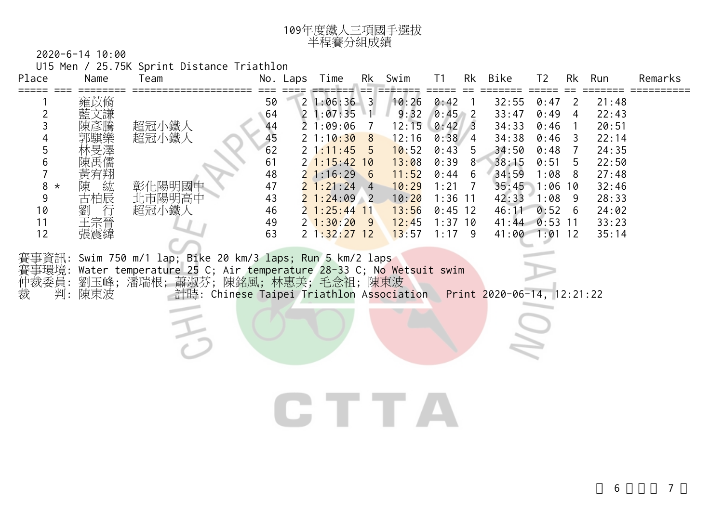| 020-6-14 10:00! |  |
|-----------------|--|
|                 |  |

2020-6-14 10:00 U15 Men / 25.75K Sprint Distance Triathlon

<sup>109</sup>年度鐵人三項國手選拔

| Place                                                                                                         | Name                                                                            | Team                                                                                                                                                                                                           |                                                                      | No. Laps       | Time                                                                                                                                                                                             |           | Rk Swim                                                                                                 | T1                                                                                                                                | Rk           | Bike                                                                                                                         | T <sub>2</sub>                                                                          | Rk                                    | Run                                                                                                      | Remarks |
|---------------------------------------------------------------------------------------------------------------|---------------------------------------------------------------------------------|----------------------------------------------------------------------------------------------------------------------------------------------------------------------------------------------------------------|----------------------------------------------------------------------|----------------|--------------------------------------------------------------------------------------------------------------------------------------------------------------------------------------------------|-----------|---------------------------------------------------------------------------------------------------------|-----------------------------------------------------------------------------------------------------------------------------------|--------------|------------------------------------------------------------------------------------------------------------------------------|-----------------------------------------------------------------------------------------|---------------------------------------|----------------------------------------------------------------------------------------------------------|---------|
| $\overline{2}$<br>$\mathsf{3}$<br>4<br>$\mathbf 5$<br>$\,6$<br>$\overline{7}$<br>8 $*$<br>9<br>10<br>11<br>12 | 雍苡脩<br>藍文謙<br>陳彥騰<br>郭騏樂<br>陳禹儒<br>黃宥翔<br>陳<br>紘<br>古柏辰<br>劉<br>行<br>王宗晉<br>張震緯 | 超冠小鐵人<br>超冠小鐵人<br>彰化陽明國中<br>北市陽明高中<br>超冠小鐵人                                                                                                                                                                    | 50<br>64<br>44<br>45<br>62<br>61<br>48<br>47<br>43<br>46<br>49<br>63 | $\overline{2}$ | $21:06:36$ 3<br>$1:07:35$ 1<br>21:09:06<br>21:10:30<br>$2\;1:11:45$<br>$2$ 1:15:42 10<br>21:16:296<br>$2\;1:21:24\;4$<br>$21:24:09$ 2<br>$2\;1:25:44\;11$<br>$2^{1}:30:20$ 9<br>$2\;1:32:27\;12$ | 8<br>$-5$ | 10:26<br>9:32<br>12:15<br>12:16<br>10:52<br>13:08<br>11:52<br>10:29<br>10:20<br>13:56<br>12:45<br>13:57 | 0:42<br>$0:45$ 2<br>$0:42 \quad 3$<br>$0:38$ 4<br>0:43<br>0:39<br>0:44<br>1:21<br>$1:36$ 11<br>$0:45$ 12<br>$1:37$ 10<br>$1:17$ 9 | -5<br>8<br>6 | 32:55<br>33:47<br>34:33<br>34:38<br>34:50<br>38:15<br>34:59<br>35:45<br>42:33<br>46:11<br>41:44 0:53 11<br>$41:00$ $1:01$ 12 | 0:47<br>0:49<br>0:46<br>0:46<br>0:48<br>0:51<br>1:08<br>$1:06$ 10<br>$1:08$ 9<br>0:52 6 | 2<br>$\overline{4}$<br>3<br>-5<br>- 8 | 21:48<br>22:43<br>20:51<br>22:14<br>24:35<br>22:50<br>27:48<br>32:46<br>28:33<br>24:02<br>33:23<br>35:14 |         |
| 賽事環境:<br>裁                                                                                                    | 判:陳東波                                                                           | 賽事資訊: Swim 750 m/1 lap; Bike 20 km/3 laps; Run 5 km/2 laps<br>Water temperature 25 C; Air temperature 28-33 C; No Wetsuit swim<br>仲裁委員:劉玉峰;潘瑞根;蕭淑芬;陳銘風;林惠美;毛念祖;陳東波<br>計時: Chinese Taipei Triathlon Association |                                                                      |                |                                                                                                                                                                                                  |           |                                                                                                         |                                                                                                                                   |              | Print 2020-06-14, 12:21:22                                                                                                   |                                                                                         |                                       |                                                                                                          |         |
|                                                                                                               |                                                                                 |                                                                                                                                                                                                                |                                                                      |                |                                                                                                                                                                                                  |           |                                                                                                         |                                                                                                                                   |              |                                                                                                                              |                                                                                         |                                       |                                                                                                          |         |

半程賽分組成績